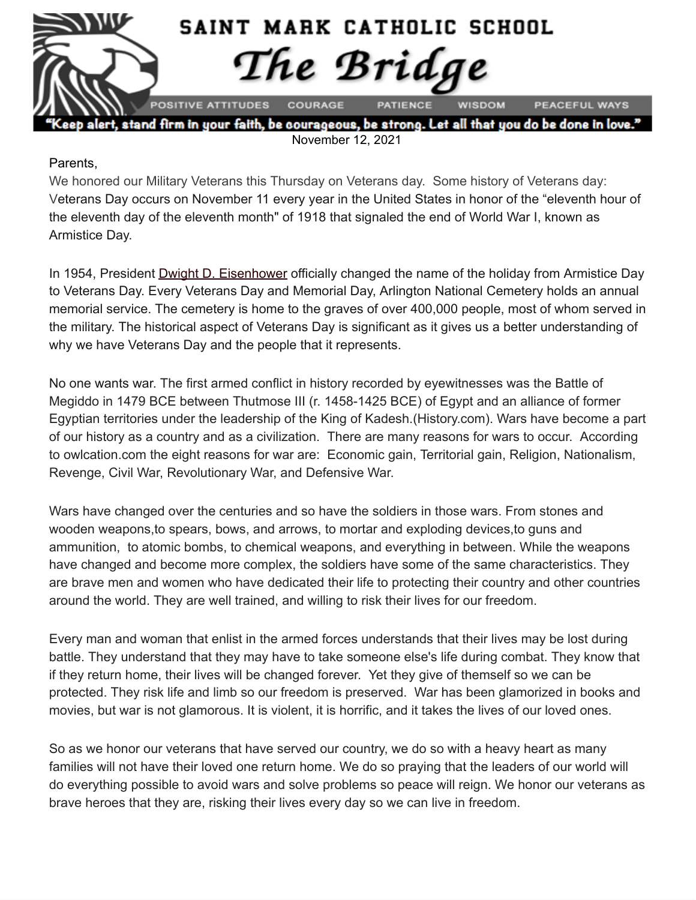

November 12, 2021

#### Parents,

We honored our Military Veterans this Thursday on Veterans day. Some history of Veterans day: Veterans Day occurs on November 11 every year in the United States in honor of the "eleventh hour of the eleventh day of the eleventh month" of 1918 that signaled the end of World War I, known as Armistice Day.

In 1954, President **Dwight D. [Eisenhower](http://www.history.com/topics/us-presidents/dwight-d-eisenhower)** officially changed the name of the holiday from Armistice Day to Veterans Day. Every Veterans Day and Memorial Day, Arlington National Cemetery holds an annual memorial service. The cemetery is home to the graves of over 400,000 people, most of whom served in the military. The historical aspect of Veterans Day is significant as it gives us a better understanding of why we have Veterans Day and the people that it represents.

No one wants war. The first armed conflict in history recorded by eyewitnesses was the Battle of Megiddo in 1479 BCE between Thutmose III (r. 1458-1425 BCE) of Egypt and an alliance of former Egyptian territories under the leadership of the King of Kadesh.(History.com). Wars have become a part of our history as a country and as a civilization. There are many reasons for wars to occur. According to owlcation.com the eight reasons for war are: Economic gain, Territorial gain, Religion, Nationalism, Revenge, Civil War, Revolutionary War, and Defensive War.

Wars have changed over the centuries and so have the soldiers in those wars. From stones and wooden weapons,to spears, bows, and arrows, to mortar and exploding devices,to guns and ammunition, to atomic bombs, to chemical weapons, and everything in between. While the weapons have changed and become more complex, the soldiers have some of the same characteristics. They are brave men and women who have dedicated their life to protecting their country and other countries around the world. They are well trained, and willing to risk their lives for our freedom.

Every man and woman that enlist in the armed forces understands that their lives may be lost during battle. They understand that they may have to take someone else's life during combat. They know that if they return home, their lives will be changed forever. Yet they give of themself so we can be protected. They risk life and limb so our freedom is preserved. War has been glamorized in books and movies, but war is not glamorous. It is violent, it is horrific, and it takes the lives of our loved ones.

So as we honor our veterans that have served our country, we do so with a heavy heart as many families will not have their loved one return home. We do so praying that the leaders of our world will do everything possible to avoid wars and solve problems so peace will reign. We honor our veterans as brave heroes that they are, risking their lives every day so we can live in freedom.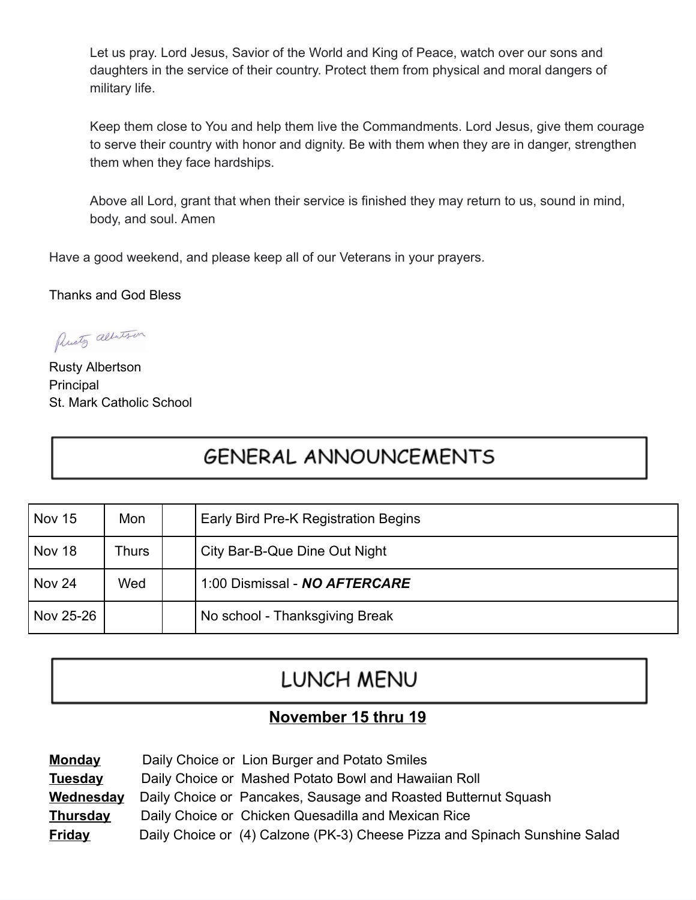Let us pray. Lord Jesus, Savior of the World and King of Peace, watch over our sons and daughters in the service of their country. Protect them from physical and moral dangers of military life.

Keep them close to You and help them live the Commandments. Lord Jesus, give them courage to serve their country with honor and dignity. Be with them when they are in danger, strengthen them when they face hardships.

Above all Lord, grant that when their service is finished they may return to us, sound in mind, body, and soul. Amen

Have a good weekend, and please keep all of our Veterans in your prayers.

Thanks and God Bless

Presty albertson

Rusty Albertson **Principal** St. Mark Catholic School

# **GENERAL ANNOUNCEMENTS**

| <b>Nov 15</b> | Mon   | Early Bird Pre-K Registration Begins |  |
|---------------|-------|--------------------------------------|--|
| Nov 18        | Thurs | City Bar-B-Que Dine Out Night        |  |
| Nov 24        | Wed   | 1:00 Dismissal - NO AFTERCARE        |  |
| Nov 25-26     |       | No school - Thanksgiving Break       |  |

## LUNCH MENU

## **November 15 thru 19**

| <b>Monday</b>    | Daily Choice or Lion Burger and Potato Smiles                              |
|------------------|----------------------------------------------------------------------------|
| Tuesday          | Daily Choice or Mashed Potato Bowl and Hawaiian Roll                       |
| <u>Wednesday</u> | Daily Choice or Pancakes, Sausage and Roasted Butternut Squash             |
| <u>Thursday</u>  | Daily Choice or Chicken Quesadilla and Mexican Rice                        |
| <u>Friday</u>    | Daily Choice or (4) Calzone (PK-3) Cheese Pizza and Spinach Sunshine Salad |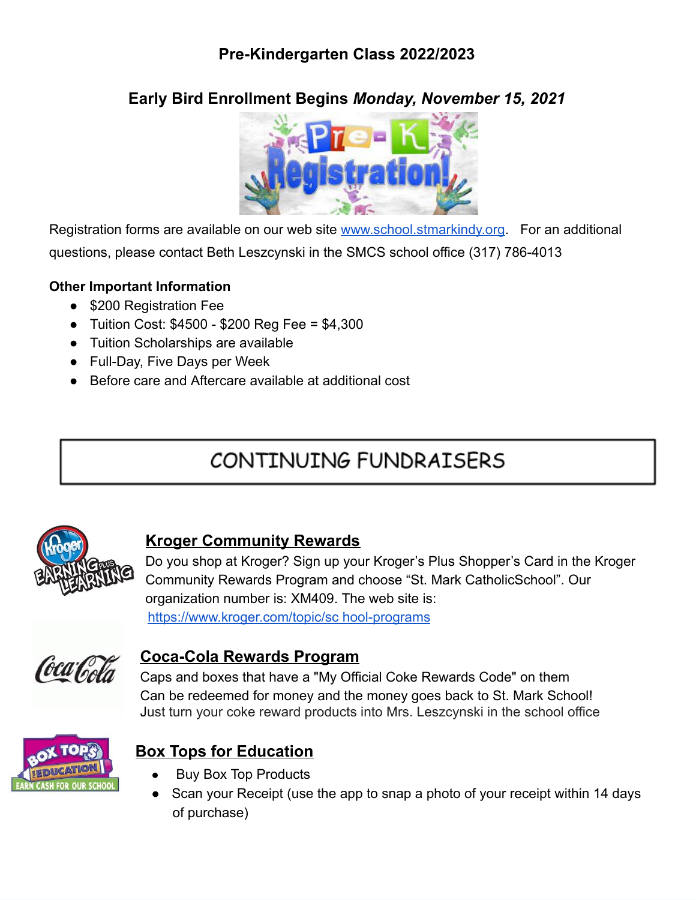## **Pre-Kindergarten Class 2022/2023**

## **Early Bird Enrollment Begins** *Monday, November 15, 2021*



Registration forms are available on our web site [www.school.stmarkindy.org.](http://www.school.stmarkindy.org/) For an additional questions, please contact Beth Leszcynski in the SMCS school office (317) 786-4013

#### **Other Important Information**

- \$200 Registration Fee
- Tuition Cost: \$4500 \$200 Reg Fee = \$4,300
- Tuition Scholarships are available
- Full-Day, Five Days per Week
- Before care and Aftercare available at additional cost

# CONTINUING FUNDRAISERS



### **Kroger Community Rewards**

Do you shop at Kroger? Sign up your Kroger's Plus Shopper's Card in the Kroger Community Rewards Program and choose "St. Mark CatholicSchool". Our organization number is: XM409. The web site is: <https://www.kroger.com/topic/sc> hool-programs



### **Coca-Cola Rewards Program**

 Caps and boxes that have a "My Official Coke Rewards Code" on them Can be redeemed for money and the money goes back to St. Mark School! Just turn your coke reward products into Mrs. Leszcynski in the school office



## **Box Tops for Education**

- **Buy Box Top Products**
- Scan your Receipt (use the app to snap a photo of your receipt within 14 days of purchase)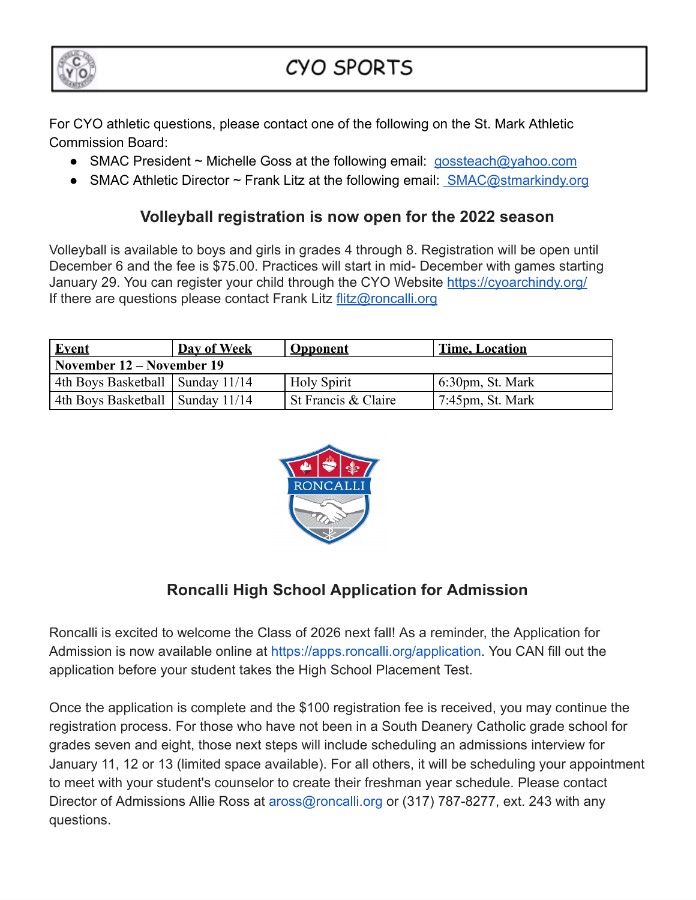

For CYO athletic questions, please contact one of the following on the St. Mark Athletic Commission Board:

- SMAC President ~ Michelle Goss at the following email: [gossteach@yahoo.com](mailto:gossteach@yahoo.com)
- SMAC Athletic Director ~ Frank Litz at the following email: **[SMAC@stmarkindy.org](mailto:SMAC@stmarkindy.org)**

## **Volleyball registration is now open for the 2022 season**

Volleyball is available to boys and girls in grades 4 through 8. Registration will be open until December 6 and the fee is \$75.00. Practices will start in mid- December with games starting January 29. You can register your child through the CYO Website <https://cyoarchindy.org/> If there are questions please contact Frank Litz [flitz@roncalli.org](mailto:flitz@roncalli.org)

| <b>Event</b>                       | Day of Week | <b>Opponent</b>     | <b>Time, Location</b>                 |  |  |  |  |  |
|------------------------------------|-------------|---------------------|---------------------------------------|--|--|--|--|--|
| November 12 – November 19          |             |                     |                                       |  |  |  |  |  |
| 4th Boys Basketball   Sunday 11/14 |             | <b>Holy Spirit</b>  | $6:30pm$ , St. Mark                   |  |  |  |  |  |
| 4th Boys Basketball   Sunday 11/14 |             | St Francis & Claire | $\frac{7:45 \text{pm}}{1}$ , St. Mark |  |  |  |  |  |



## **Roncalli High School Application for Admission**

Roncalli is excited to welcome the Class of 2026 next fall! As a reminder, the Application for Admission is now available online at [https://apps.roncalli.org/application.](https://apps.roncalli.org/application) You CAN fill out the application before your student takes the High School Placement Test.

Once the application is complete and the \$100 registration fee is received, you may continue the registration process. For those who have not been in a South Deanery Catholic grade school for grades seven and eight, those next steps will include scheduling an admissions interview for January 11, 12 or 13 (limited space available). For all others, it will be scheduling your appointment to meet with your student's counselor to create their freshman year schedule. Please contact Director of Admissions Allie Ross at aross@roncalli.org or (317) 787-8277, ext. 243 with any questions.